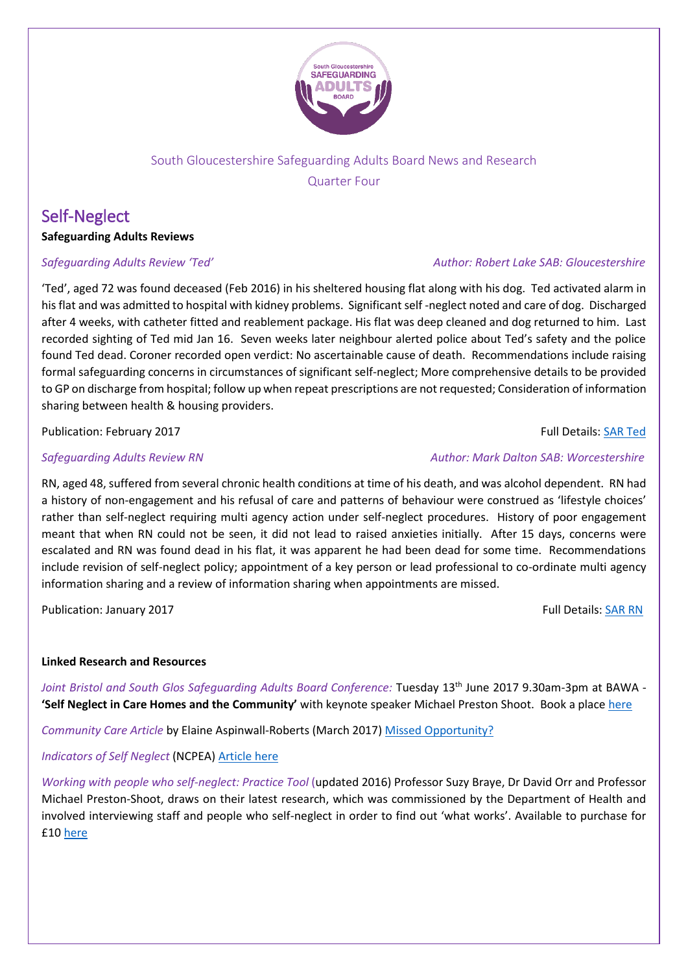

# South Gloucestershire Safeguarding Adults Board News and Research Quarter Four

# Self-Neglect

## **Safeguarding Adults Reviews**

'Ted', aged 72 was found deceased (Feb 2016) in his sheltered housing flat along with his dog. Ted activated alarm in his flat and was admitted to hospital with kidney problems. Significant self -neglect noted and care of dog. Discharged after 4 weeks, with catheter fitted and reablement package. His flat was deep cleaned and dog returned to him. Last recorded sighting of Ted mid Jan 16. Seven weeks later neighbour alerted police about Ted's safety and the police found Ted dead. Coroner recorded open verdict: No ascertainable cause of death. Recommendations include raising formal safeguarding concerns in circumstances of significant self-neglect; More comprehensive details to be provided to GP on discharge from hospital; follow up when repeat prescriptions are not requested; Consideration of information sharing between health & housing providers.

Publication: February 2017 **Full Details: [SAR Ted](http://www.gloucestershire.gov.uk/media/13348/gsab-sar-report-ted-final-10-01-2017.pdf)** 

RN, aged 48, suffered from several chronic health conditions at time of his death, and was alcohol dependent. RN had a history of non-engagement and his refusal of care and patterns of behaviour were construed as 'lifestyle choices' rather than self-neglect requiring multi agency action under self-neglect procedures. History of poor engagement meant that when RN could not be seen, it did not lead to raised anxieties initially. After 15 days, concerns were escalated and RN was found dead in his flat, it was apparent he had been dead for some time. Recommendations include revision of self-neglect policy; appointment of a key person or lead professional to co-ordinate multi agency information sharing and a review of information sharing when appointments are missed.

Publication: January 2017 **Full Details[: SAR RN](http://www.worcestershire.gov.uk/downloads/file/7758/rn_sar)** 

## **Linked Research and Resources**

Joint Bristol and South Glos Safeguarding Adults Board Conference: Tuesday 13<sup>th</sup> June 2017 9.30am-3pm at BAWA -**'Self Neglect in Care Homes and the Community'** with keynote speaker Michael Preston Shoot. Book a plac[e here](https://learning.southglos.gov.uk/courses/bookings/c_detail.asp?cid=13321&iscancelled=0&curpage=&keyword=&ds=&unconfirmed=&cs=&subid=&keystage=0&sdate=&searchcode=&asearch=&tutid=&estid=&sday=&smonth=&syear=&targetid=&cal=1&calday=13&calmonth=6&calyear=2017&caldate=&submonth=&subyear=&list=&palist=&frompage=&a=&b=&c=&d=&s_leaid=%20)

*Community Care Article* by Elaine Aspinwall-Roberts (March 2017) [Missed Opportunity?](http://www.communitycare.co.uk/2017/03/02/missed-opportunity-tackle-self-neglect/)

*Indicators of Self Neglect* (NCPEA) [Article here](http://www.preventelderabuse.org/elderabuse/neglect.html)

*Working with people who self-neglect: Practice Tool* (updated 2016) Professor Suzy Braye, Dr David Orr and Professor Michael Preston-Shoot, draws on their latest research, which was commissioned by the Department of Health and involved interviewing staff and people who self-neglect in order to find out 'what works'. Available to purchase for £10 [here](https://www.ripfa.org.uk/resources/publications/practice-tools-and-guides/working-with-people-who-selfneglect-practice-tool-updated-2016/)

## *Safeguarding Adults Review 'Ted' Author: Robert Lake SAB: Gloucestershire*

## **Safeguarding Adults Review RN** Author: Mark Dalton SAB: Worcestershire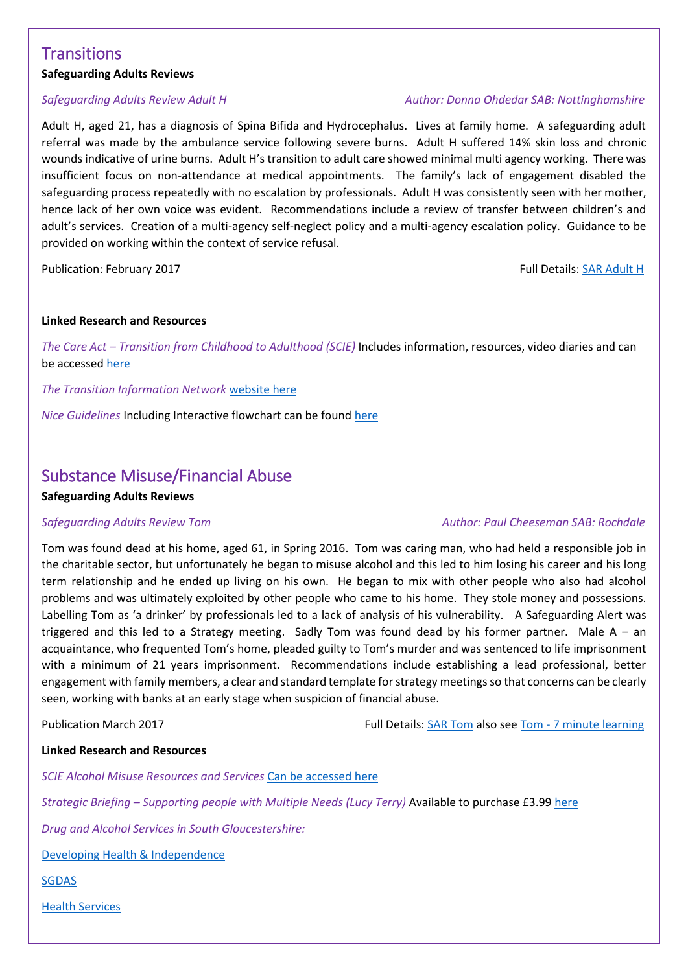# **Transitions**

### **Safeguarding Adults Reviews**

Adult H, aged 21, has a diagnosis of Spina Bifida and Hydrocephalus. Lives at family home. A safeguarding adult referral was made by the ambulance service following severe burns. Adult H suffered 14% skin loss and chronic wounds indicative of urine burns. Adult H's transition to adult care showed minimal multi agency working. There was insufficient focus on non-attendance at medical appointments. The family's lack of engagement disabled the safeguarding process repeatedly with no escalation by professionals. Adult H was consistently seen with her mother, hence lack of her own voice was evident. Recommendations include a review of transfer between children's and adult's services. Creation of a multi-agency self-neglect policy and a multi-agency escalation policy. Guidance to be provided on working within the context of service refusal.

Publication: February 2017 **Full Details: [SAR Adult H](http://www.nottinghamshire.gov.uk/media/117266/adulthexecutivesummaryfinal20170130.pdf)** 

#### **Linked Research and Resources**

*The Care Act – Transition from Childhood to Adulthood (SCIE)* Includes information, resources, video diaries and can be accessed [here](https://www.scie.org.uk/care-act-2014/transition-from-childhood-to-adulthood/)

*The Transition Information Network* [website here](https://councilfordisabledchildren.org.uk/transition-information-network)

*Nice Guidelines* Including Interactive flowchart can be foun[d here](https://www.nice.org.uk/guidance/ng43)

## Substance Misuse/Financial Abuse

### **Safeguarding Adults Reviews**

### **Safeguarding Adults Review Tom Author: Paul Cheeseman SAB: Rochdale Author: Paul Cheeseman SAB: Rochdale**

Tom was found dead at his home, aged 61, in Spring 2016. Tom was caring man, who had held a responsible job in the charitable sector, but unfortunately he began to misuse alcohol and this led to him losing his career and his long term relationship and he ended up living on his own. He began to mix with other people who also had alcohol problems and was ultimately exploited by other people who came to his home. They stole money and possessions. Labelling Tom as 'a drinker' by professionals led to a lack of analysis of his vulnerability. A Safeguarding Alert was triggered and this led to a Strategy meeting. Sadly Tom was found dead by his former partner. Male  $A - an$ acquaintance, who frequented Tom's home, pleaded guilty to Tom's murder and was sentenced to life imprisonment with a minimum of 21 years imprisonment. Recommendations include establishing a lead professional, better engagement with family members, a clear and standard template for strategy meetings so that concerns can be clearly seen, working with banks at an early stage when suspicion of financial abuse.

Publication March 2017 Full Details: [SAR Tom](https://www.rbsab.org/UserFiles/Docs/SAR%20Tom.pdf) also see Tom - [7 minute learning](https://www.rbsab.org/UserFiles/Docs/Tom%20SAR.pdf)

### **Linked Research and Resources**

*SCIE Alcohol Misuse Resources and Services* [Can be accessed here](http://www.scie.org.uk/atoz/?f_az_subject_thesaurus_terms_s=alcohol+misuse&st=atoz)

*Strategic Briefing – Supporting people with Multiple Needs (Lucy Terry)* Available to purchase £3.99 [here](https://www.ripfa.org.uk/resources/publications/strategic-briefings/supporting-people-with-multiple-needs-and-exclusions-strategic-briefing-2015)

*Drug and Alcohol Services in South Gloucestershire:* 

[Developing Health & Independence](http://www.dhi-online.org.uk/do/south-gloucestershire/)

[SGDAS](http://www.impactpathways.org.uk/SGDAS-(South-Gloucestershire-Drug-and-Alcohol-Service)/Pathway-Services/)

[Health Services](https://www.southgloucestershireccg.nhs.uk/your-health-local-services/healthy-living/drugs-and-alcohol/)

### *Safeguarding Adults Review Adult H Author: Donna Ohdedar SAB: Nottinghamshire*